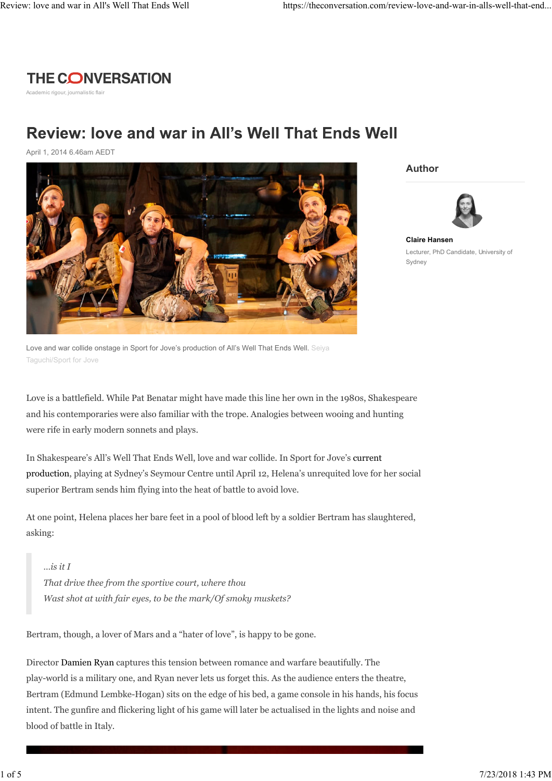## **THE CONVERSATION**

Academic rigour, journalistic flair

## Review: love and war in All's Well That Ends Well

April 1, 2014 6.46am AEDT



Love and war collide onstage in Sport for Jove's production of All's Well That Ends Well. Seiya Taguchi/Sport for Jove

Love is a battlefield. While Pat Benatar might have made this line her own in the 1980s, Shakespeare and his contemporaries were also familiar with the trope. Analogies between wooing and hunting were rife in early modern sonnets and plays.

In Shakespeare's All's Well That Ends Well, love and war collide. In Sport for Jove's current production, playing at Sydney's Seymour Centre until April 12, Helena's unrequited love for her social superior Bertram sends him flying into the heat of battle to avoid love.

At one point, Helena places her bare feet in a pool of blood left by a soldier Bertram has slaughtered, asking:

*…is it I That drive thee from the sportive court, where thou Wast shot at with fair eyes, to be the mark/Of smoky muskets?*

Bertram, though, a lover of Mars and a "hater of love", is happy to be gone.

Director Damien Ryan captures this tension between romance and warfare beautifully. The play-world is a military one, and Ryan never lets us forget this. As the audience enters the theatre, Bertram (Edmund Lembke-Hogan) sits on the edge of his bed, a game console in his hands, his focus intent. The gunfire and flickering light of his game will later be actualised in the lights and noise and blood of battle in Italy.

**Author**



**Claire Hansen** Lecturer, PhD Candidate, University of Sydney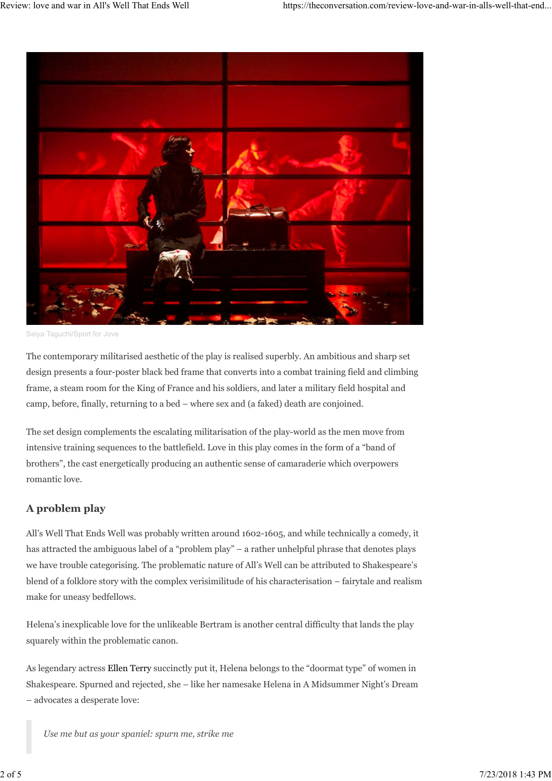

Seiya Taguchi/Sport for Jove

The contemporary militarised aesthetic of the play is realised superbly. An ambitious and sharp set design presents a four-poster black bed frame that converts into a combat training field and climbing frame, a steam room for the King of France and his soldiers, and later a military field hospital and camp, before, finally, returning to a bed – where sex and (a faked) death are conjoined.

The set design complements the escalating militarisation of the play-world as the men move from intensive training sequences to the battlefield. Love in this play comes in the form of a "band of brothers", the cast energetically producing an authentic sense of camaraderie which overpowers romantic love.

## **A problem play**

All's Well That Ends Well was probably written around 1602-1605, and while technically a comedy, it has attracted the ambiguous label of a "problem play" – a rather unhelpful phrase that denotes plays we have trouble categorising. The problematic nature of All's Well can be attributed to Shakespeare's blend of a folklore story with the complex verisimilitude of his characterisation – fairytale and realism make for uneasy bedfellows.

Helena's inexplicable love for the unlikeable Bertram is another central difficulty that lands the play squarely within the problematic canon.

As legendary actress Ellen Terry succinctly put it, Helena belongs to the "doormat type" of women in Shakespeare. Spurned and rejected, she – like her namesake Helena in A Midsummer Night's Dream – advocates a desperate love:

*Use me but as your spaniel: spurn me, strike me*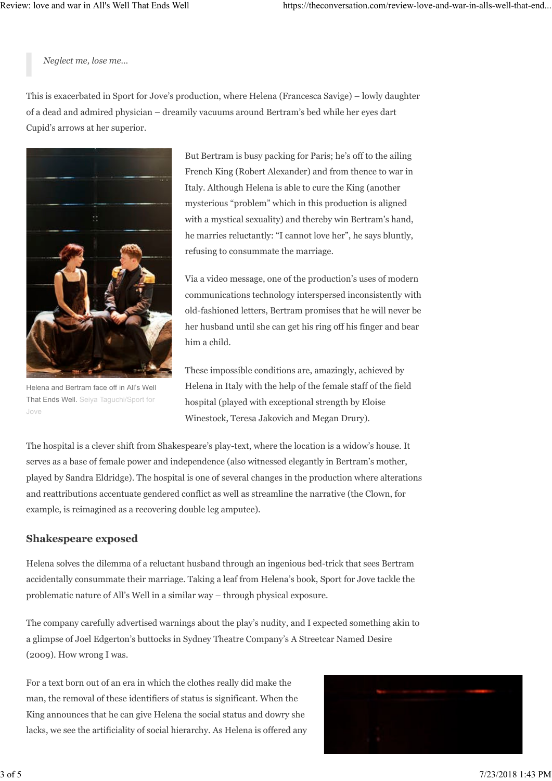*Neglect me, lose me…*

This is exacerbated in Sport for Jove's production, where Helena (Francesca Savige) – lowly daughter of a dead and admired physician – dreamily vacuums around Bertram's bed while her eyes dart Cupid's arrows at her superior.

![](_page_2_Picture_4.jpeg)

Helena and Bertram face off in All's Well That Ends Well. Seiya Taguchi/Sport for Jove

But Bertram is busy packing for Paris; he's off to the ailing French King (Robert Alexander) and from thence to war in Italy. Although Helena is able to cure the King (another mysterious "problem" which in this production is aligned with a mystical sexuality) and thereby win Bertram's hand, he marries reluctantly: "I cannot love her", he says bluntly, refusing to consummate the marriage.

Via a video message, one of the production's uses of modern communications technology interspersed inconsistently with old-fashioned letters, Bertram promises that he will never be her husband until she can get his ring off his finger and bear him a child.

These impossible conditions are, amazingly, achieved by Helena in Italy with the help of the female staff of the field hospital (played with exceptional strength by Eloise Winestock, Teresa Jakovich and Megan Drury).

The hospital is a clever shift from Shakespeare's play-text, where the location is a widow's house. It serves as a base of female power and independence (also witnessed elegantly in Bertram's mother, played by Sandra Eldridge). The hospital is one of several changes in the production where alterations and reattributions accentuate gendered conflict as well as streamline the narrative (the Clown, for example, is reimagined as a recovering double leg amputee).

## **Shakespeare exposed**

Helena solves the dilemma of a reluctant husband through an ingenious bed-trick that sees Bertram accidentally consummate their marriage. Taking a leaf from Helena's book, Sport for Jove tackle the problematic nature of All's Well in a similar way – through physical exposure.

The company carefully advertised warnings about the play's nudity, and I expected something akin to a glimpse of Joel Edgerton's buttocks in Sydney Theatre Company's A Streetcar Named Desire (2009). How wrong I was.

For a text born out of an era in which the clothes really did make the man, the removal of these identifiers of status is significant. When the King announces that he can give Helena the social status and dowry she lacks, we see the artificiality of social hierarchy. As Helena is offered any

![](_page_2_Picture_14.jpeg)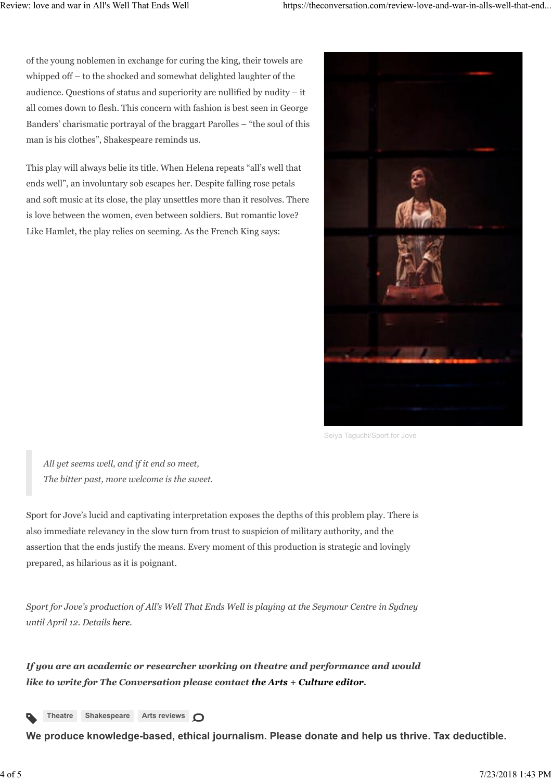of the young noblemen in exchange for curing the king, their towels are whipped off – to the shocked and somewhat delighted laughter of the audience. Questions of status and superiority are nullified by nudity – it all comes down to flesh. This concern with fashion is best seen in George Banders' charismatic portrayal of the braggart Parolles – "the soul of this man is his clothes", Shakespeare reminds us.

This play will always belie its title. When Helena repeats "all's well that ends well", an involuntary sob escapes her. Despite falling rose petals and soft music at its close, the play unsettles more than it resolves. There is love between the women, even between soldiers. But romantic love? Like Hamlet, the play relies on seeming. As the French King says:

![](_page_3_Picture_4.jpeg)

Seiya Taguchi/Sport for Jove

*All yet seems well, and if it end so meet, The bitter past, more welcome is the sweet.*

Sport for Jove's lucid and captivating interpretation exposes the depths of this problem play. There is also immediate relevancy in the slow turn from trust to suspicion of military authority, and the assertion that the ends justify the means. Every moment of this production is strategic and lovingly prepared, as hilarious as it is poignant.

*Sport for Jove's production of All's Well That Ends Well is playing at the Seymour Centre in Sydney until April 12. Details here.*

*If you are an academic or researcher working on theatre and performance and would like to write for The Conversation please contact the Arts + Culture editor.*

![](_page_3_Picture_10.jpeg)

**We produce knowledge-based, ethical journalism. Please donate and help us thrive. Tax deductible.**